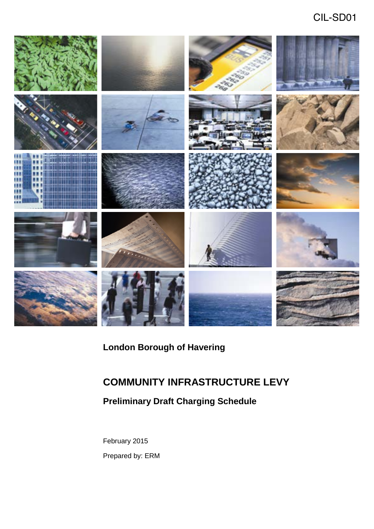# CIL-SD01



# **London Borough of Havering**

# **COMMUNITY INFRASTRUCTURE LEVY**

## **Preliminary Draft Charging Schedule**

February 2015 Prepared by: ERM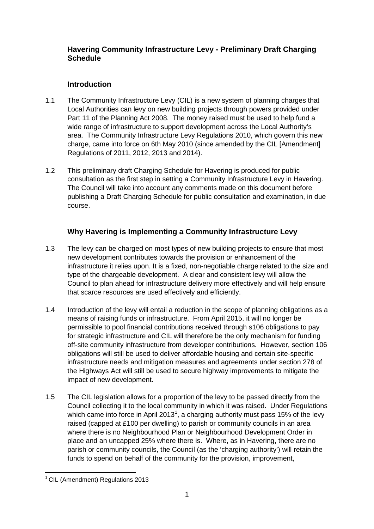#### **Havering Community Infrastructure Levy - Preliminary Draft Charging Schedule**

### **Introduction**

- wide range of infrastructure to support development across the Local Authority's charge, came into force on 6th May 2010 (since amended by the CIL [Amendment] Regulations of 2011, 2012, 2013 and 2014).  $1.1$ The Community Infrastructure Levy (CIL) is a new system of planning charges that Local Authorities can levy on new building projects through powers provided under Part 11 of the Planning Act 2008. The money raised must be used to help fund a area. The Community Infrastructure Levy Regulations 2010, which govern this new
- 1.2 This preliminary draft Charging Schedule for Havering is produced for public  $1.2$ consultation as the first step in setting a Community Infrastructure Levy in Havering. The Council will take into account any comments made on this document before publishing a Draft Charging Schedule for public consultation and examination, in due course.

### **Why Havering is Implementing a Community Infrastructure Levy**

- 1.3 The levy can be charged on most types of new building projects to ensure that most infrastructure it relies upon. It is a fixed, non-negotiable charge related to the size and  $1.3$ new development contributes towards the provision or enhancement of the type of the chargeable development. A clear and consistent levy will allow the Council to plan ahead for infrastructure delivery more effectively and will help ensure that scarce resources are used effectively and efficiently.
- permissible to pool financial contributions received through s106 obligations to pay for strategic infrastructure and CIL will therefore be the only mechanism for funding infrastructure needs and mitigation measures and agreements under section 278 of  $1.4$ Introduction of the levy will entail a reduction in the scope of planning obligations as a means of raising funds or infrastructure. From April 2015, it will no longer be off-site community infrastructure from developer contributions. However, section 106 obligations will still be used to deliver affordable housing and certain site-specific the Highways Act will still be used to secure highway improvements to mitigate the impact of new development.
- 1.5 The CIL legislation allows for a proportion of the levy to be passed directly from the Council collecting it to the local community in which it was raised. Under Regulations  $1.5$ which came into force in April 2013<sup>1</sup>, a charging authority must pass 15% of the levy raised (capped at £100 per dwelling) to parish or community councils in an area where there is no Neighbourhood Plan or Neighbourhood Development Order in place and an uncapped 25% where there is. Where, as in Havering, there are no parish or community councils, the Council (as the 'charging authority') will retain the funds to spend on behalf of the community for the provision, improvement,

 $\overline{a}$  $<sup>1</sup>$  CIL (Amendment) Regulations 2013</sup>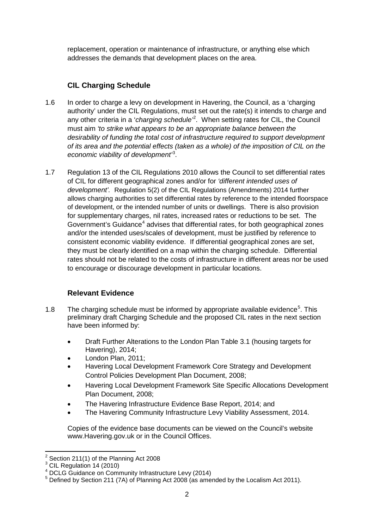replacement, operation or maintenance of infrastructure, or anything else which addresses the demands that development places on the area.

### **CIL Charging Schedule**

- must aim *'to strike what appears to be an appropriate balance between the of its area and the potential effects (taken as a whole) of the imposition of CIL on the*   $1.6$ In order to charge a levy on development in Havering, the Council, as a 'charging' authority' under the CIL Regulations, must set out the rate(s) it intends to charge and any other criteria in a '*charging schedule'*<sup>2</sup> . When setting rates for CIL, the Council *desirability of funding the total cost of infrastructure required to support development economic viability of development'*<sup>3</sup> .
- 1.7 Regulation 13 of the CIL Regulations 2010 allows the Council to set differential rates of CIL for different geographical zones and/or for *'different intended uses of development'.* Regulation 5(2) of the CIL Regulations (Amendments) 2014 further of development, or the intended number of units or dwellings. There is also provision consistent economic viability evidence. If differential geographical zones are set, they must be clearly identified on a map within the charging schedule. Differential  $1.7$ allows charging authorities to set differential rates by reference to the intended floorspace for supplementary charges, nil rates, increased rates or reductions to be set. The Government's Guidance<sup>4</sup> advises that differential rates, for both geographical zones and/or the intended uses/scales of development, must be justified by reference to rates should not be related to the costs of infrastructure in different areas nor be used to encourage or discourage development in particular locations.

### **Relevant Evidence**

- have been informed by:  $1.8$ 1.8 The charging schedule must be informed by appropriate available evidence<sup>5</sup>. This preliminary draft Charging Schedule and the proposed CIL rates in the next section
	- Draft Further Alterations to the London Plan Table 3.1 (housing targets for Havering), 2014;
	- London Plan, 2011;
	- Havering Local Development Framework Core Strategy and Development Control Policies Development Plan Document, 2008;
	- • Havering Local Development Framework Site Specific Allocations Development Plan Document, 2008;
	- The Havering Infrastructure Evidence Base Report, 2014; and
	- The Havering Community Infrastructure Levy Viability Assessment, 2014.

Copies of the evidence base documents can be viewed on the Council's website www.Havering.gov.uk or in the Council Offices.

 $\overline{a}$  $2^{2}$  Section 211(1) of the Planning Act 2008

 $3$  CIL Regulation 14 (2010)

<sup>&</sup>lt;sup>4</sup> DCLG Guidance on Community Infrastructure Levy (2014)

<sup>&</sup>lt;sup>4</sup> DCLG Guidance on Community Infrastructure Levy (2014)<br><sup>5</sup> Defined by Section 211 (7A) of Planning Act 2008 (as amended by the Localism Act 2011).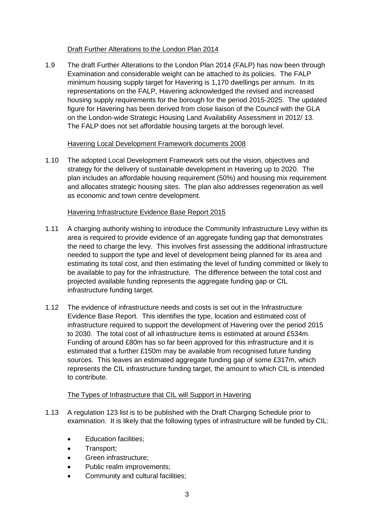#### Draft Further Alterations to the London Plan 2014

 Examination and considerable weight can be attached to its policies. The FALP minimum housing supply target for Havering is 1,170 dwellings per annum. In its representations on the FALP, Havering acknowledged the revised and increased housing supply requirements for the borough for the period 2015-2025. The updated on the London-wide Strategic Housing Land Availability Assessment in 2012/13. The draft Further Alterations to the London Plan 2014 (FALP) has now been through figure for Havering has been derived from close liaison of the Council with the GLA The FALP does not set affordable housing targets at the borough level.

#### Havering Local Development Framework documents 2008

 1.10 The adopted Local Development Framework sets out the vision, objectives and strategy for the delivery of sustainable development in Havering up to 2020. The and allocates strategic housing sites. The plan also addresses regeneration as well  $1.10$ plan includes an affordable housing requirement (50%) and housing mix requirement as economic and town centre development.

#### Havering Infrastructure Evidence Base Report 2015

- area is required to provide evidence of an aggregate funding gap that demonstrates needed to support the type and level of development being planned for its area and estimating its total cost, and then estimating the level of funding committed or likely to  $1.11$ 1.11 A charging authority wishing to introduce the Community Infrastructure Levy within its the need to charge the levy. This involves first assessing the additional infrastructure be available to pay for the infrastructure. The difference between the total cost and projected available funding represents the aggregate funding gap or CIL infrastructure funding target.
- Evidence Base Report. This identifies the type, location and estimated cost of estimated that a further £150m may be available from recognised future funding sources. This leaves an estimated aggregate funding gap of some £317m, which represents the CIL infrastructure funding target, the amount to which CIL is intended 1.12 The evidence of infrastructure needs and costs is set out in the Infrastructure infrastructure required to support the development of Havering over the period 2015 to 2030. The total cost of all infrastructure items is estimated at around £534m. Funding of around £80m has so far been approved for this infrastructure and it is to contribute.

#### The Types of Infrastructure that CIL will Support in Havering

- examination. It is likely that the following types of infrastructure will be funded by CIL: 1.13 A regulation 123 list is to be published with the Draft Charging Schedule prior to
	- Education facilities;
	- Transport;
	- Green infrastructure;
	- Public realm improvements;
	- Community and cultural facilities;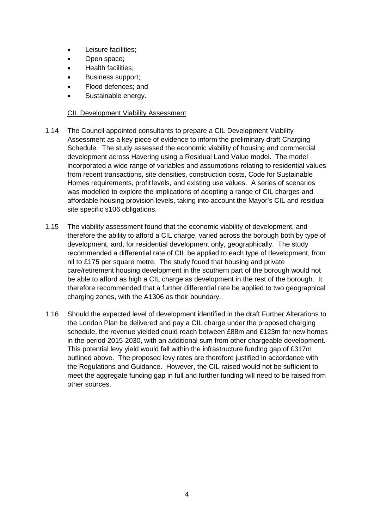- Leisure facilities;
- Open space;
- Health facilities;
- Business support;
- Flood defences; and
- Sustainable energy.

#### CIL Development Viability Assessment

- Schedule. The study assessed the economic viability of housing and commercial 1.14 The Council appointed consultants to prepare a CIL Development Viability Assessment as a key piece of evidence to inform the preliminary draft Charging development across Havering using a Residual Land Value model. The model incorporated a wide range of variables and assumptions relating to residential values from recent transactions, site densities, construction costs, Code for Sustainable Homes requirements, profit levels, and existing use values. A series of scenarios was modelled to explore the implications of adopting a range of CIL charges and affordable housing provision levels, taking into account the Mayor's CIL and residual site specific s106 obligations.
- 1.15 The viability assessment found that the economic viability of development, and therefore the ability to afford a CIL charge, varied across the borough both by type of recommended a differential rate of CIL be applied to each type of development, from nil to £175 per square metre. The study found that housing and private care/retirement housing development in the southern part of the borough would not be able to afford as high a CIL charge as development in the rest of the borough. It charging zones, with the A1306 as their boundary.  $1.15$ development, and, for residential development only, geographically. The study therefore recommended that a further differential rate be applied to two geographical
- schedule, the revenue yielded could reach between £88m and £123m for new homes in the period 2015-2030, with an additional sum from other chargeable development.<br>This potential levy yield would fall within the infrastructure funding gap of £317m outlined above. The proposed levy rates are therefore justified in accordance with meet the aggregate funding gap in full and further funding will need to be raised from  $116$ 1.16 Should the expected level of development identified in the draft Further Alterations to the London Plan be delivered and pay a CIL charge under the proposed charging the Regulations and Guidance. However, the CIL raised would not be sufficient to other sources.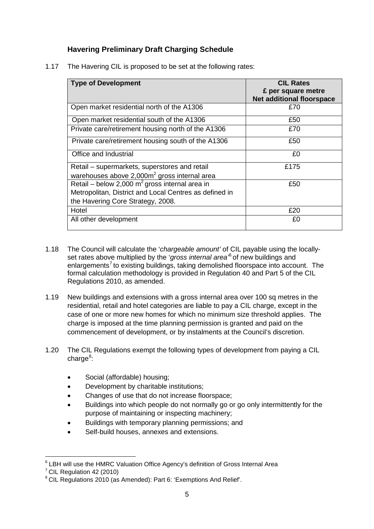### **Havering Preliminary Draft Charging Schedule**

1.17 The Havering CIL is proposed to be set at the following rates:

| <b>Type of Development</b>                             | <b>CIL Rates</b><br>£ per square metre |
|--------------------------------------------------------|----------------------------------------|
|                                                        | <b>Net additional floorspace</b>       |
| Open market residential north of the A1306             | £70                                    |
| Open market residential south of the A1306             | £50                                    |
| Private care/retirement housing north of the A1306     | £70                                    |
| Private care/retirement housing south of the A1306     | £50                                    |
| Office and Industrial                                  | £0                                     |
| Retail - supermarkets, superstores and retail          | £175                                   |
| warehouses above $2,000m^2$ gross internal area        |                                        |
| Retail – below 2,000 $m^2$ gross internal area in      | £50                                    |
| Metropolitan, District and Local Centres as defined in |                                        |
| the Havering Core Strategy, 2008.                      |                                        |
| Hotel                                                  | £20                                    |
| All other development                                  | £0                                     |

- $1.18$ 1.18 The Council will calculate the '*chargeable amount'* of CIL payable using the locallyset rates above multiplied by the '*gross internal area'*6 of new buildings and enlargements<sup>7</sup> to existing buildings, taking demolished floorspace into account. The formal calculation methodology is provided in Regulation 40 and Part 5 of the CIL Regulations 2010, as amended.
- case of one or more new homes for which no minimum size threshold applies. The  $1.19$ New buildings and extensions with a gross internal area over 100 sq metres in the residential, retail and hotel categories are liable to pay a CIL charge, except in the charge is imposed at the time planning permission is granted and paid on the commencement of development, or by instalments at the Council's discretion.
- $1.20$ The CIL Regulations exempt the following types of development from paying a CIL charge<sup>8</sup>:
	- Social (affordable) housing;
	- Development by charitable institutions;
	- Changes of use that do not increase floorspace;
	- • Buildings into which people do not normally go or go only intermittently for the purpose of maintaining or inspecting machinery;
	- Buildings with temporary planning permissions; and
	- Self-build houses, annexes and extensions.

**.** 

 $6$  LBH will use the HMRC Valuation Office Agency's definition of Gross Internal Area

 $7$  CIL Regulation 42 (2010)

<sup>&</sup>lt;sup>8</sup> CIL Regulations 2010 (as Amended): Part 6: 'Exemptions And Relief'.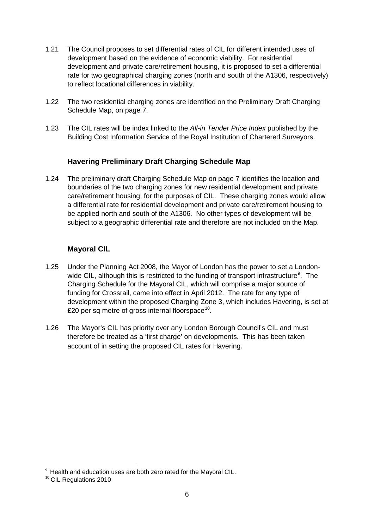- rate for two geographical charging zones (north and south of the A1306, respectively)  $1.21$ The Council proposes to set differential rates of CIL for different intended uses of development based on the evidence of economic viability. For residential development and private care/retirement housing, it is proposed to set a differential to reflect locational differences in viability.
- $1.22$ The two residential charging zones are identified on the Preliminary Draft Charging Schedule Map, on page 7.
- Building Cost Information Service of the Royal Institution of Chartered Surveyors.  $1.23$ 1.23 The CIL rates will be index linked to the *All-in Tender Price Index* published by the

### **Havering Preliminary Draft Charging Schedule Map**

 care/retirement housing, for the purposes of CIL. These charging zones would allow be applied north and south of the A1306. No other types of development will be subject to a geographic differential rate and therefore are not included on the Map.  $1.24$ The preliminary draft Charging Schedule Map on page 7 identifies the location and boundaries of the two charging zones for new residential development and private a differential rate for residential development and private care/retirement housing to

### **Mayoral CIL**

- wide CIL, although this is restricted to the funding of transport infrastructure<sup>9</sup>. The funding for Crossrail, came into effect in April 2012. The rate for any type of development within the proposed Charging Zone 3, which includes Havering, is set at £20 per sq metre of gross internal floorspace<sup>10</sup>.  $1.25$ Under the Planning Act 2008, the Mayor of London has the power to set a London-Charging Schedule for the Mayoral CIL, which will comprise a major source of
- therefore be treated as a 'first charge' on developments. This has been taken account of in setting the proposed CIL rates for Havering. 1.26 The Mayor's CIL has priority over any London Borough Council's CIL and must

 $\overline{a}$  9 account of in setting the proposed CIL rates for Havering.<br>Health and education uses are both zero rated for the Mayoral CIL.

<sup>&</sup>lt;sup>10</sup> CIL Requlations 2010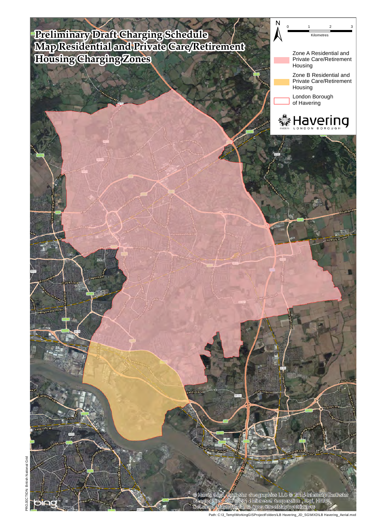#### **Charging Schedule ivate Care/Retirement Preliminary Draft Map Residential and Pr Housing Charging Zones**



ster Geographics LLC @ 2014 Intermep Eenthster<br>2014 Microsoft Corporation , Esti, HERE<br>Ia, @ Open StreetMap contributors Mapm dia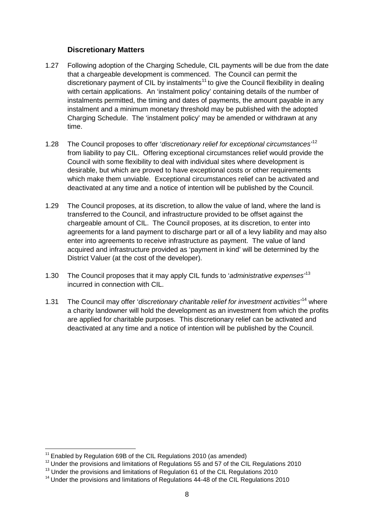#### **Discretionary Matters**

- $1.27$ 1.27 Following adoption of the Charging Schedule, CIL payments will be due from the date that a chargeable development is commenced. The Council can permit the discretionary payment of CIL by instalments<sup>11</sup> to give the Council flexibility in dealing with certain applications. An 'instalment policy' containing details of the number of instalments permitted, the timing and dates of payments, the amount payable in any instalment and a minimum monetary threshold may be published with the adopted Charging Schedule. The 'instalment policy' may be amended or withdrawn at any time.
- $1.28$ The Council proposes to offer '*discretionary relief for exceptional circumstances*<sup>12</sup> from liability to pay CIL. Offering exceptional circumstances relief would provide the Council with some flexibility to deal with individual sites where development is desirable, but which are proved to have exceptional costs or other requirements which make them unviable. Exceptional circumstances relief can be activated and deactivated at any time and a notice of intention will be published by the Council.
- chargeable amount of CIL. The Council proposes, at its discretion, to enter into enter into agreements to receive infrastructure as payment. The value of land  $1.29$ The Council proposes, at its discretion, to allow the value of land, where the land is transferred to the Council, and infrastructure provided to be offset against the agreements for a land payment to discharge part or all of a levy liability and may also acquired and infrastructure provided as 'payment in kind' will be determined by the District Valuer (at the cost of the developer).
- $1.30$ The Council proposes that it may apply CIL funds to '*administrative expenses*<sup>13</sup> incurred in connection with CIL.
- are applied for charitable purposes. This discretionary relief can be activated and  $1.31$ 1.31 The Council may offer '*discretionary charitable relief for investment activities'*14 where a charity landowner will hold the development as an investment from which the profits deactivated at any time and a notice of intention will be published by the Council.

 $11$  Enabled by Regulation 69B of the CIL Regulations 2010 (as amended)

 $12$  Under the provisions and limitations of Regulations 55 and 57 of the CIL Regulations 2010

<sup>&</sup>lt;sup>13</sup> Under the provisions and limitations of Regulation 61 of the CIL Regulations 2010

 $14$  Under the provisions and limitations of Regulations 44-48 of the CIL Regulations 2010